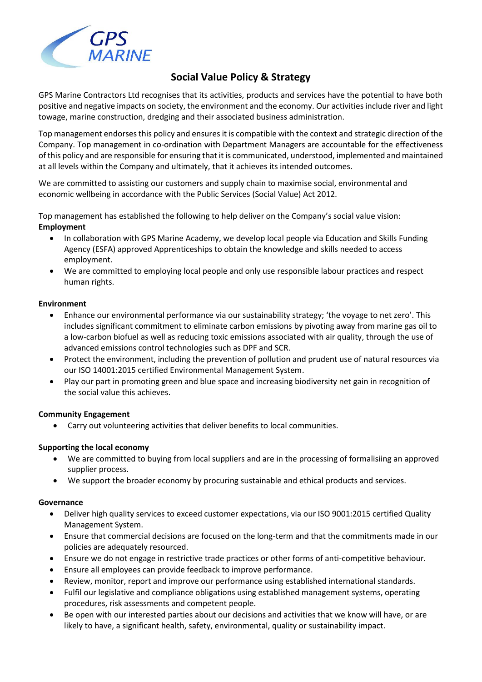

# **Social Value Policy & Strategy**

GPS Marine Contractors Ltd recognises that its activities, products and services have the potential to have both positive and negative impacts on society, the environment and the economy. Our activities include river and light towage, marine construction, dredging and their associated business administration.

Top management endorses this policy and ensures it is compatible with the context and strategic direction of the Company. Top management in co-ordination with Department Managers are accountable for the effectiveness of this policy and are responsible for ensuring that it is communicated, understood, implemented and maintained at all levels within the Company and ultimately, that it achieves its intended outcomes.

We are committed to assisting our customers and supply chain to maximise social, environmental and economic wellbeing in accordance with the Public Services (Social Value) Act 2012.

Top management has established the following to help deliver on the Company's social value vision: **Employment**

- In collaboration with GPS Marine Academy, we develop local people via Education and Skills Funding Agency (ESFA) approved Apprenticeships to obtain the knowledge and skills needed to access employment.
- We are committed to employing local people and only use responsible labour practices and respect human rights.

#### **Environment**

- Enhance our environmental performance via our sustainability strategy; 'the voyage to net zero'. This includes significant commitment to eliminate carbon emissions by pivoting away from marine gas oil to a low-carbon biofuel as well as reducing toxic emissions associated with air quality, through the use of advanced emissions control technologies such as DPF and SCR.
- Protect the environment, including the prevention of pollution and prudent use of natural resources via our ISO 14001:2015 certified Environmental Management System.
- Play our part in promoting green and blue space and increasing biodiversity net gain in recognition of the social value this achieves.

## **Community Engagement**

• Carry out volunteering activities that deliver benefits to local communities.

## **Supporting the local economy**

- We are committed to buying from local suppliers and are in the processing of formalisiing an approved supplier process.
- We support the broader economy by procuring sustainable and ethical products and services.

#### **Governance**

- Deliver high quality services to exceed customer expectations, via our ISO 9001:2015 certified Quality Management System.
- Ensure that commercial decisions are focused on the long-term and that the commitments made in our policies are adequately resourced.
- Ensure we do not engage in restrictive trade practices or other forms of anti-competitive behaviour.
- Ensure all employees can provide feedback to improve performance.
- Review, monitor, report and improve our performance using established international standards.
- Fulfil our legislative and compliance obligations using established management systems, operating procedures, risk assessments and competent people.
- Be open with our interested parties about our decisions and activities that we know will have, or are likely to have, a significant health, safety, environmental, quality or sustainability impact.